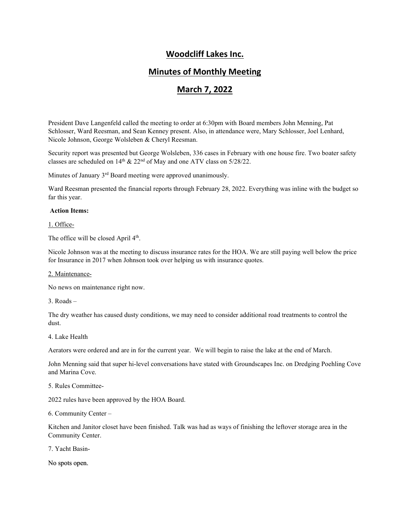# **Woodcliff Lakes Inc.**

## **Minutes of Monthly Meeting**

## **March 7, 2022**

President Dave Langenfeld called the meeting to order at 6:30pm with Board members John Menning, Pat Schlosser, Ward Reesman, and Sean Kenney present. Also, in attendance were, Mary Schlosser, Joel Lenhard, Nicole Johnson, George Wolsleben & Cheryl Reesman.

Security report was presented but George Wolsleben, 336 cases in February with one house fire. Two boater safety classes are scheduled on  $14<sup>th</sup>$  &  $22<sup>nd</sup>$  of May and one ATV class on  $5/28/22$ .

Minutes of January 3<sup>rd</sup> Board meeting were approved unanimously.

Ward Reesman presented the financial reports through February 28, 2022. Everything was inline with the budget so far this year.

### **Action Items:**

1. Office-

The office will be closed April  $4<sup>th</sup>$ .

Nicole Johnson was at the meeting to discuss insurance rates for the HOA. We are still paying well below the price for Insurance in 2017 when Johnson took over helping us with insurance quotes.

#### 2. Maintenance-

No news on maintenance right now.

 $3. \text{Roads} =$ 

The dry weather has caused dusty conditions, we may need to consider additional road treatments to control the dust.

### 4. Lake Health

Aerators were ordered and are in for the current year. We will begin to raise the lake at the end of March.

John Menning said that super hi-level conversations have stated with Groundscapes Inc. on Dredging Poehling Cove and Marina Cove.

### 5. Rules Committee-

2022 rules have been approved by the HOA Board.

6. Community Center –

Kitchen and Janitor closet have been finished. Talk was had as ways of finishing the leftover storage area in the Community Center.

7. Yacht Basin-

No spots open.